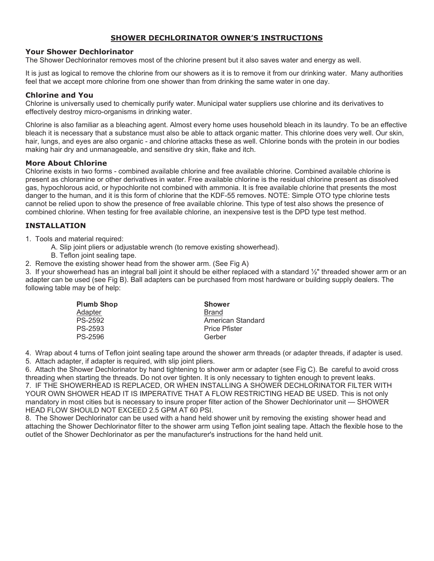# **SHOWER DECHLORINATOR OWNER'S INSTRUCTIONS**

### **Your Shower Dechlorinator**

The Shower Dechlorinator removes most of the chlorine present but it also saves water and energy as well.

It is just as logical to remove the chlorine from our showers as it is to remove it from our drinking water. Many authorities feel that we accept more chlorine from one shower than from drinking the same water in one day.

## **Chlorine and You**

Chlorine is universally used to chemically purify water. Municipal water suppliers use chlorine and its derivatives to effectively destroy micro-organisms in drinking water.

Chlorine is also familiar as a bleaching agent. Almost every home uses household bleach in its laundry. To be an effective bleach it is necessary that a substance must also be able to attack organic matter. This chlorine does very well. Our skin, hair, lungs, and eyes are also organic - and chlorine attacks these as well. Chlorine bonds with the protein in our bodies making hair dry and unmanageable, and sensitive dry skin, flake and itch.

### **More About Chlorine**

Chlorine exists in two forms - combined available chlorine and free available chlorine. Combined available chlorine is present as chloramine or other derivatives in water. Free available chlorine is the residual chlorine present as dissolved gas, hypochlorous acid, or hypochlorite not combined with ammonia. It is free available chlorine that presents the most danger to the human, and it is this form of chlorine that the KDF-55 removes. NOTE: Simple OTO type chlorine tests cannot be relied upon to show the presence of free available chlorine. This type of test also shows the presence of combined chlorine. When testing for free available chlorine, an inexpensive test is the DPD type test method.

## **INSTALLATION**

1. Tools and material required:

A. Slip joint pliers or adjustable wrench (to remove existing showerhead).

B. Teflon joint sealing tape.

2. Remove the existing shower head from the shower arm. (See Fig A)

3. If your showerhead has an integral ball joint it should be either replaced with a standard ½" threaded shower arm or an adapter can be used (see Fig B). Ball adapters can be purchased from most hardware or building supply dealers. The following table may be of help:

| <b>Plumb Shop</b> | Shower               |
|-------------------|----------------------|
| Adapter           | Brand                |
| PS-2592           | American Standard    |
| PS-2593           | <b>Price Pfister</b> |
| PS-2596           | Gerber               |

4. Wrap about 4 turns of Teflon joint sealing tape around the shower arm threads (or adapter threads, if adapter is used. 5. Attach adapter, if adapter is required, with slip joint pliers.

6. Attach the Shower Dechlorinator by hand tightening to shower arm or adapter (see Fig C). Be careful to avoid cross threading when starting the threads. Do not over tighten. It is only necessary to tighten enough to prevent leaks. 7. IF THE SHOWERHEAD IS REPLACED, OR WHEN INSTALLING A SHOWER DECHLORINATOR FILTER WITH YOUR OWN SHOWER HEAD IT IS IMPERATIVE THAT A FLOW RESTRICTING HEAD BE USED. This is not only mandatory in most cities but is necessary to insure proper filter action of the Shower Dechlorinator unit — SHOWER HEAD FLOW SHOULD NOT EXCEED 2.5 GPM AT 60 PSI.

8. The Shower Dechlorinator can be used with a hand held shower unit by removing the existing shower head and attaching the Shower Dechlorinator filter to the shower arm using Teflon joint sealing tape. Attach the flexible hose to the outlet of the Shower Dechlorinator as per the manufacturer's instructions for the hand held unit.